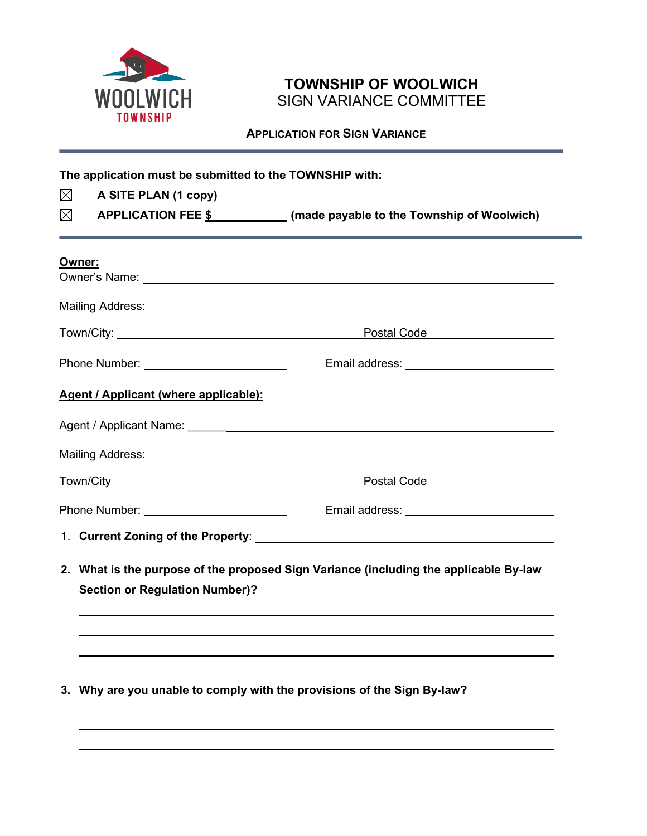

# **TOWNSHIP OF WOOLWICH** SIGN VARIANCE COMMITTEE

 **APPLICATION FOR SIGN VARIANCE**

**The application must be submitted to the TOWNSHIP with:**  $\boxtimes$ **A SITE PLAN (1 copy)**  $\boxtimes$ **APPLICATION FEE \$ (made payable to the Township of Woolwich) Owner:** Owner's Name: Mailing Address: Town/City: Note and Town City: Note and Town City: Phone Number: Email address: **Agent / Applicant (where applicable):** Agent / Applicant Name: \_\_\_\_\_\_ Mailing Address: Town/City **For the Contract Code Postal Code Postal Code** Phone Number: Email address: 1. **Current Zoning of the Property**: **2. What is the purpose of the proposed Sign Variance (including the applicable By-law Section or Regulation Number)?**

**3. Why are you unable to comply with the provisions of the Sign By-law?**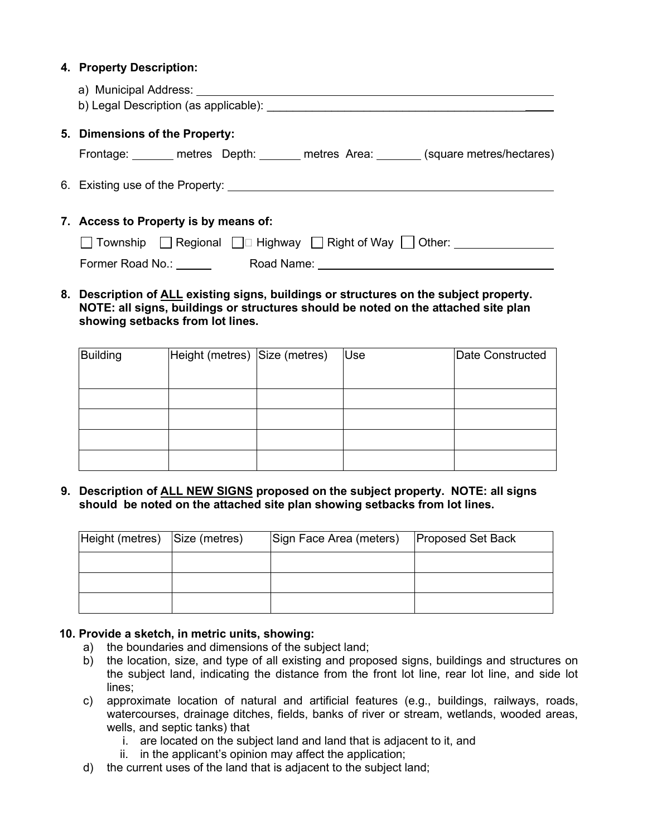### **4. Property Description:**

|                                       | 5. Dimensions of the Property:                                                       |  |  |
|---------------------------------------|--------------------------------------------------------------------------------------|--|--|
|                                       | Frontage: _______ metres Depth: ______ metres Area: _______ (square metres/hectares) |  |  |
|                                       |                                                                                      |  |  |
| 7. Access to Property is by means of: |                                                                                      |  |  |
|                                       | □ Township □ Regional □□ Highway □ Right of Way □ Other:                             |  |  |
|                                       | Former Road No.: ______<br>Road Name: ________________________                       |  |  |

### **8. Description of ALL existing signs, buildings or structures on the subject property. NOTE: all signs, buildings or structures should be noted on the attached site plan showing setbacks from lot lines.**

| <b>Building</b> | Height (metres) Size (metres) | Use | Date Constructed |
|-----------------|-------------------------------|-----|------------------|
|                 |                               |     |                  |
|                 |                               |     |                  |
|                 |                               |     |                  |
|                 |                               |     |                  |
|                 |                               |     |                  |

### **9. Description of ALL NEW SIGNS proposed on the subject property. NOTE: all signs should be noted on the attached site plan showing setbacks from lot lines.**

| Height (metres) Size (metres) | Sign Face Area (meters) | <b>Proposed Set Back</b> |
|-------------------------------|-------------------------|--------------------------|
|                               |                         |                          |
|                               |                         |                          |
|                               |                         |                          |

### **10. Provide a sketch, in metric units, showing:**

- a) the boundaries and dimensions of the subject land;
- b) the location, size, and type of all existing and proposed signs, buildings and structures on the subject land, indicating the distance from the front lot line, rear lot line, and side lot lines;
- c) approximate location of natural and artificial features (e.g., buildings, railways, roads, watercourses, drainage ditches, fields, banks of river or stream, wetlands, wooded areas, wells, and septic tanks) that
	- i. are located on the subject land and land that is adjacent to it, and
	- ii. in the applicant's opinion may affect the application;
- d) the current uses of the land that is adjacent to the subject land;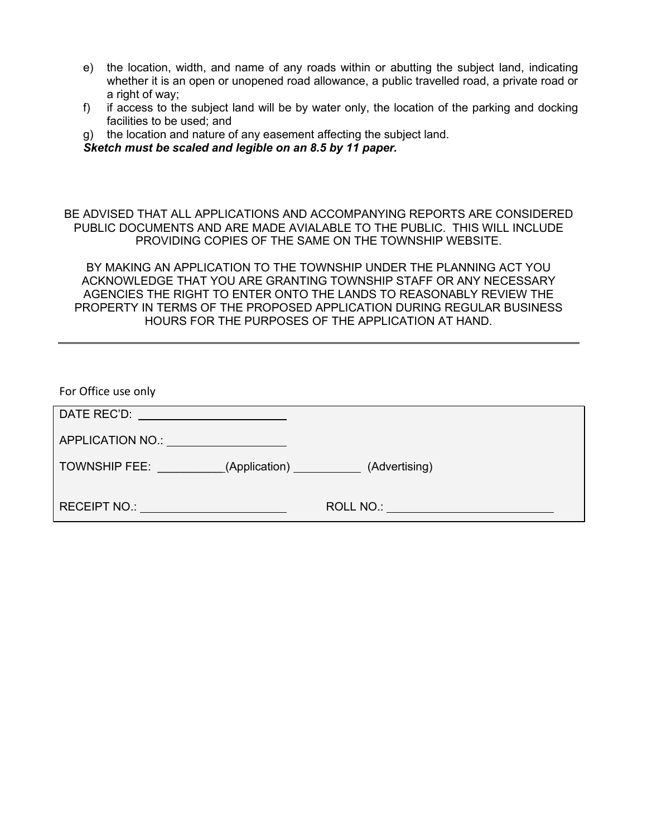- e) the location, width, and name of any roads within or abutting the subject land, indicating whether it is an open or unopened road allowance, a public travelled road, a private road or a right of way:
- f) if access to the subject land will be by water only, the location of the parking and docking facilities to be used; and
- g) the location and nature of any easement affecting the subject land.

*Sketch must be scaled and legible on an 8.5 by 11 paper.*

BE ADVISED THAT ALL APPLICATIONS AND ACCOMPANYING REPORTS ARE CONSIDERED PUBLIC DOCUMENTS AND ARE MADE AVIALABLE TO THE PUBLIC. THIS WILL INCLUDE PROVIDING COPIES OF THE SAME ON THE TOWNSHIP WEBSITE.

BY MAKING AN APPLICATION TO THE TOWNSHIP UNDER THE PLANNING ACT YOU ACKNOWLEDGE THAT YOU ARE GRANTING TOWNSHIP STAFF OR ANY NECESSARY AGENCIES THE RIGHT TO ENTER ONTO THE LANDS TO REASONABLY REVIEW THE PROPERTY IN TERMS OF THE PROPOSED APPLICATION DURING REGULAR BUSINESS HOURS FOR THE PURPOSES OF THE APPLICATION AT HAND.

| For Office use only                                                                                                                                                                                                            |                             |
|--------------------------------------------------------------------------------------------------------------------------------------------------------------------------------------------------------------------------------|-----------------------------|
|                                                                                                                                                                                                                                |                             |
| APPLICATION NO.: \\square\\square\\square\\square\\square\\square\\square\\square\\square\\square\\square\\square\\square\\square\\square\\square\\square\\square\\square\\square\\square\\square\\square\\square\\square\\squ |                             |
| TOWNSHIP FEE: (Application)                                                                                                                                                                                                    | (Advertising)               |
| RECEIPT NO.: A RECEIPT NO.: A RECEIPT ON A RECEIPT OF A RECEIPT OF A REPORT OF A REPORT OF A REPORT OF A REPORT OF A REPORT OF A REPORT OF A REPORT OF A REPORT OF A REPORT OF A REPORT OF A REPORT OF A REPORT OF A REPORT OF | <b>ROLL NO.: Example 20</b> |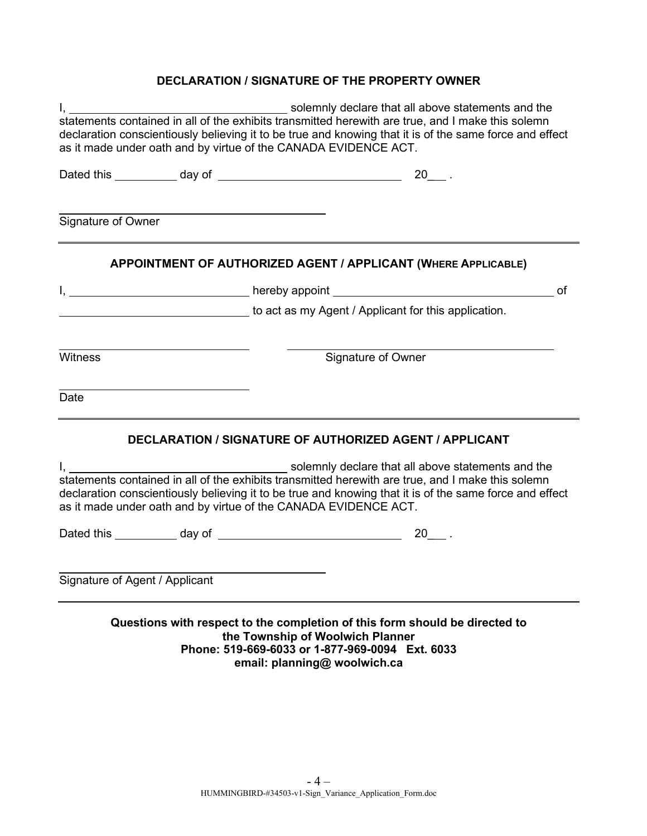## **DECLARATION / SIGNATURE OF THE PROPERTY OWNER**

|                                                                 | solemnly declare that all above statements and the                                                                                                                                                           |
|-----------------------------------------------------------------|--------------------------------------------------------------------------------------------------------------------------------------------------------------------------------------------------------------|
| as it made under oath and by virtue of the CANADA EVIDENCE ACT. | declaration conscientiously believing it to be true and knowing that it is of the same force and effect                                                                                                      |
|                                                                 |                                                                                                                                                                                                              |
| Signature of Owner                                              |                                                                                                                                                                                                              |
|                                                                 | APPOINTMENT OF AUTHORIZED AGENT / APPLICANT (WHERE APPLICABLE)                                                                                                                                               |
|                                                                 | 0f                                                                                                                                                                                                           |
|                                                                 | to act as my Agent / Applicant for this application.                                                                                                                                                         |
| <b>Witness</b>                                                  | Signature of Owner                                                                                                                                                                                           |
| Date                                                            |                                                                                                                                                                                                              |
|                                                                 | <b>DECLARATION / SIGNATURE OF AUTHORIZED AGENT / APPLICANT</b>                                                                                                                                               |
|                                                                 |                                                                                                                                                                                                              |
| as it made under oath and by virtue of the CANADA EVIDENCE ACT. | statements contained in all of the exhibits transmitted herewith are true, and I make this solemn<br>declaration conscientiously believing it to be true and knowing that it is of the same force and effect |
|                                                                 | $20$ <sub>--</sub>                                                                                                                                                                                           |
| Signature of Agent / Applicant                                  |                                                                                                                                                                                                              |
|                                                                 | Questions with respect to the completion of this form should be directed to<br>the Township of Woolwich Planner<br>Phone: 519-669-6033 or 1-877-969-0094 Ext. 6033<br>email: planning@ woolwich.ca           |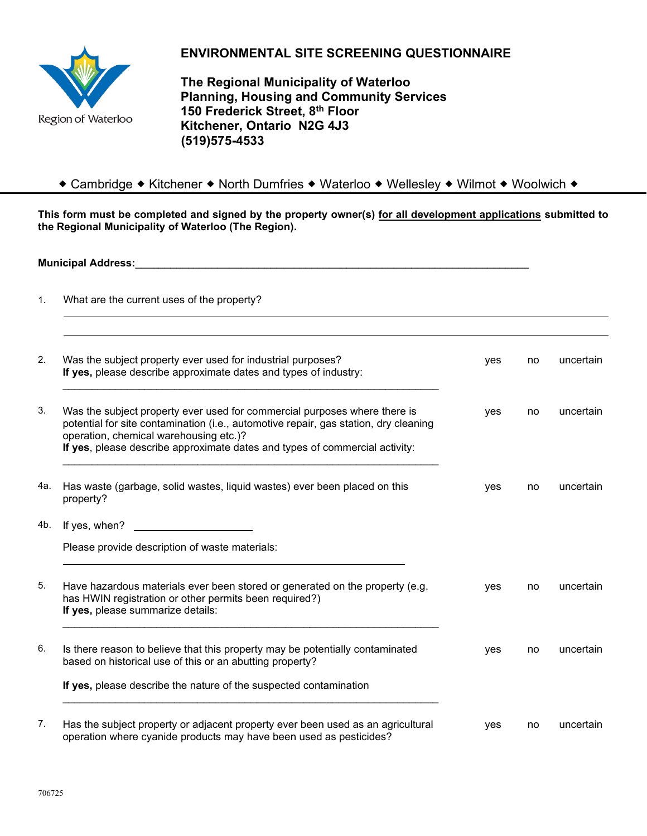

# **ENVIRONMENTAL SITE SCREENING QUESTIONNAIRE**

**The Regional Municipality of Waterloo Planning, Housing and Community Services 150 Frederick Street, 8th Floor Kitchener, Ontario N2G 4J3 (519)575-4533**

### ◆ Cambridge ◆ Kitchener ◆ North Dumfries ◆ Waterloo ◆ Wellesley ◆ Wilmot ◆ Woolwich ◆

**This form must be completed and signed by the property owner(s) for all development applications submitted to the Regional Municipality of Waterloo (The Region).** 

**Municipal Address:** 

1. What are the current uses of the property?

| 2.  | Was the subject property ever used for industrial purposes?<br>If yes, please describe approximate dates and types of industry:                                                                                                                                                            | yes | no | uncertain |
|-----|--------------------------------------------------------------------------------------------------------------------------------------------------------------------------------------------------------------------------------------------------------------------------------------------|-----|----|-----------|
|     | Was the subject property ever used for commercial purposes where there is<br>potential for site contamination (i.e., automotive repair, gas station, dry cleaning<br>operation, chemical warehousing etc.)?<br>If yes, please describe approximate dates and types of commercial activity: | yes | no | uncertain |
| 4a. | Has waste (garbage, solid wastes, liquid wastes) ever been placed on this<br>property?                                                                                                                                                                                                     | yes | no | uncertain |
| 4b. | If yes, when?                                                                                                                                                                                                                                                                              |     |    |           |
|     | Please provide description of waste materials:                                                                                                                                                                                                                                             |     |    |           |
|     | Have hazardous materials ever been stored or generated on the property (e.g.<br>has HWIN registration or other permits been required?)<br>If yes, please summarize details:                                                                                                                | yes | no | uncertain |
|     | Is there reason to believe that this property may be potentially contaminated<br>based on historical use of this or an abutting property?                                                                                                                                                  | yes | no | uncertain |
|     | If yes, please describe the nature of the suspected contamination                                                                                                                                                                                                                          |     |    |           |
|     | Has the subject property or adjacent property ever been used as an agricultural<br>operation where cyanide products may have been used as pesticides?                                                                                                                                      | yes | no | uncertain |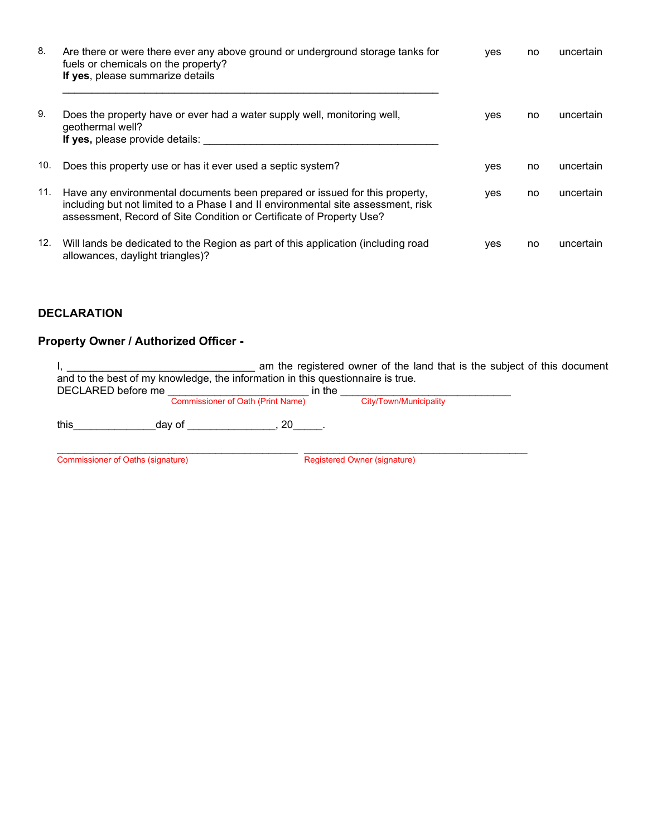| 8.  | Are there or were there ever any above ground or underground storage tanks for<br>fuels or chemicals on the property?<br>If yes, please summarize details                                                                                | <b>ves</b> | no. | uncertain |
|-----|------------------------------------------------------------------------------------------------------------------------------------------------------------------------------------------------------------------------------------------|------------|-----|-----------|
| 9.  | Does the property have or ever had a water supply well, monitoring well,<br>geothermal well?<br>If yes, please provide details:                                                                                                          | <b>ves</b> | no. | uncertain |
| 10. | Does this property use or has it ever used a septic system?                                                                                                                                                                              | <b>ves</b> | no. | uncertain |
| 11. | Have any environmental documents been prepared or issued for this property,<br>including but not limited to a Phase I and II environmental site assessment, risk<br>assessment, Record of Site Condition or Certificate of Property Use? | yes        | no. | uncertain |
| 12. | Will lands be dedicated to the Region as part of this application (including road<br>allowances, daylight triangles)?                                                                                                                    | yes        | no. | uncertain |

## **DECLARATION**

# **Property Owner / Authorized Officer -**

| am the registered owner of the land that is the subject of this document<br>and to the best of my knowledge, the information in this questionnaire is true.<br>DECLARED before me<br>in the |                                     |  |  |  |
|---------------------------------------------------------------------------------------------------------------------------------------------------------------------------------------------|-------------------------------------|--|--|--|
| <b>Commissioner of Oath (Print Name)</b>                                                                                                                                                    | City/Town/Municipality              |  |  |  |
| this<br>20<br>dav of                                                                                                                                                                        |                                     |  |  |  |
| Commissioner of Oaths (signature)                                                                                                                                                           | <b>Registered Owner (signature)</b> |  |  |  |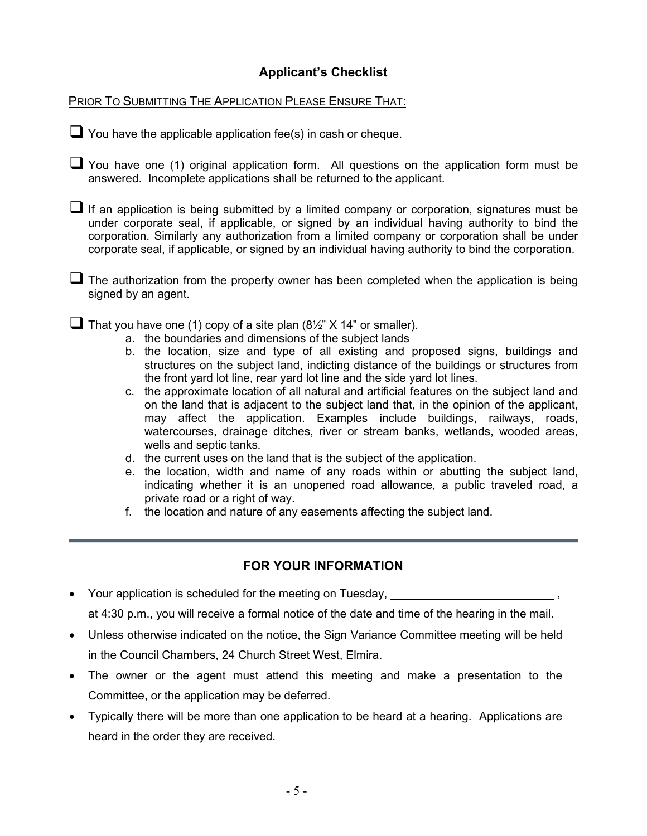# **Applicant's Checklist**

PRIOR TO SUBMITTING THE APPLICATION PLEASE ENSURE THAT:

 $\Box$  You have the applicable application fee(s) in cash or cheque.

You have one (1) original application form. All questions on the application form must be answered. Incomplete applications shall be returned to the applicant.

 $\Box$  If an application is being submitted by a limited company or corporation, signatures must be under corporate seal, if applicable, or signed by an individual having authority to bind the corporation. Similarly any authorization from a limited company or corporation shall be under corporate seal, if applicable, or signed by an individual having authority to bind the corporation.

 $\Box$  The authorization from the property owner has been completed when the application is being signed by an agent.

■ That you have one (1) copy of a site plan  $(8\frac{1}{2}$  X 14" or smaller).

- a. the boundaries and dimensions of the subject lands
- b. the location, size and type of all existing and proposed signs, buildings and structures on the subject land, indicting distance of the buildings or structures from the front yard lot line, rear yard lot line and the side yard lot lines.
- c. the approximate location of all natural and artificial features on the subject land and on the land that is adjacent to the subject land that, in the opinion of the applicant, may affect the application. Examples include buildings, railways, roads, watercourses, drainage ditches, river or stream banks, wetlands, wooded areas. wells and septic tanks.
- d. the current uses on the land that is the subject of the application.
- e. the location, width and name of any roads within or abutting the subject land, indicating whether it is an unopened road allowance, a public traveled road, a private road or a right of way.
- f. the location and nature of any easements affecting the subject land.

# **FOR YOUR INFORMATION**

- Your application is scheduled for the meeting on Tuesday, at 4:30 p.m., you will receive a formal notice of the date and time of the hearing in the mail.
- Unless otherwise indicated on the notice, the Sign Variance Committee meeting will be held in the Council Chambers, 24 Church Street West, Elmira.
- The owner or the agent must attend this meeting and make a presentation to the Committee, or the application may be deferred.
- Typically there will be more than one application to be heard at a hearing. Applications are heard in the order they are received.